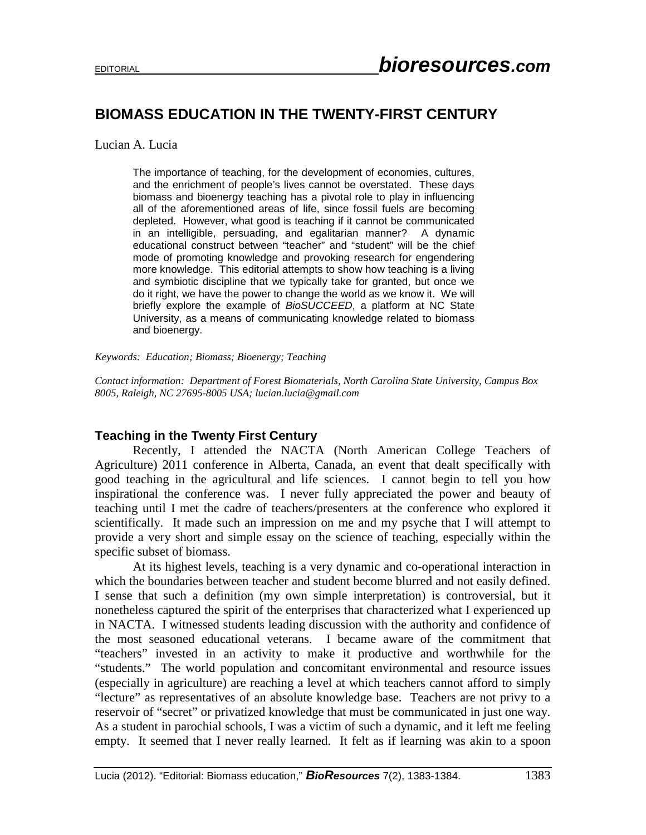## **BIOMASS EDUCATION IN THE TWENTY-FIRST CENTURY**

Lucian A. Lucia

The importance of teaching, for the development of economies, cultures, and the enrichment of people's lives cannot be overstated. These days biomass and bioenergy teaching has a pivotal role to play in influencing all of the aforementioned areas of life, since fossil fuels are becoming depleted. However, what good is teaching if it cannot be communicated in an intelligible, persuading, and egalitarian manner? A dynamic educational construct between "teacher" and "student" will be the chief mode of promoting knowledge and provoking research for engendering more knowledge. This editorial attempts to show how teaching is a living and symbiotic discipline that we typically take for granted, but once we do it right, we have the power to change the world as we know it. We will briefly explore the example of *BioSUCCEED*, a platform at NC State University, as a means of communicating knowledge related to biomass and bioenergy.

*Keywords: Education; Biomass; Bioenergy; Teaching*

*Contact information: Department of Forest Biomaterials, North Carolina State University, Campus Box 8005, Raleigh, NC 27695-8005 USA; [lucian.lucia@gmail.com](mailto:lucian.lucia@gmail.com)*

## **Teaching in the Twenty First Century**

Recently, I attended the NACTA (North American College Teachers of Agriculture) 2011 conference in Alberta, Canada, an event that dealt specifically with good teaching in the agricultural and life sciences. I cannot begin to tell you how inspirational the conference was. I never fully appreciated the power and beauty of teaching until I met the cadre of teachers/presenters at the conference who explored it scientifically. It made such an impression on me and my psyche that I will attempt to provide a very short and simple essay on the science of teaching, especially within the specific subset of biomass.

At its highest levels, teaching is a very dynamic and co-operational interaction in which the boundaries between teacher and student become blurred and not easily defined. I sense that such a definition (my own simple interpretation) is controversial, but it nonetheless captured the spirit of the enterprises that characterized what I experienced up in NACTA. I witnessed students leading discussion with the authority and confidence of the most seasoned educational veterans. I became aware of the commitment that "teachers" invested in an activity to make it productive and worthwhile for the "students." The world population and concomitant environmental and resource issues (especially in agriculture) are reaching a level at which teachers cannot afford to simply "lecture" as representatives of an absolute knowledge base. Teachers are not privy to a reservoir of "secret" or privatized knowledge that must be communicated in just one way. As a student in parochial schools, I was a victim of such a dynamic, and it left me feeling empty. It seemed that I never really learned. It felt as if learning was akin to a spoon